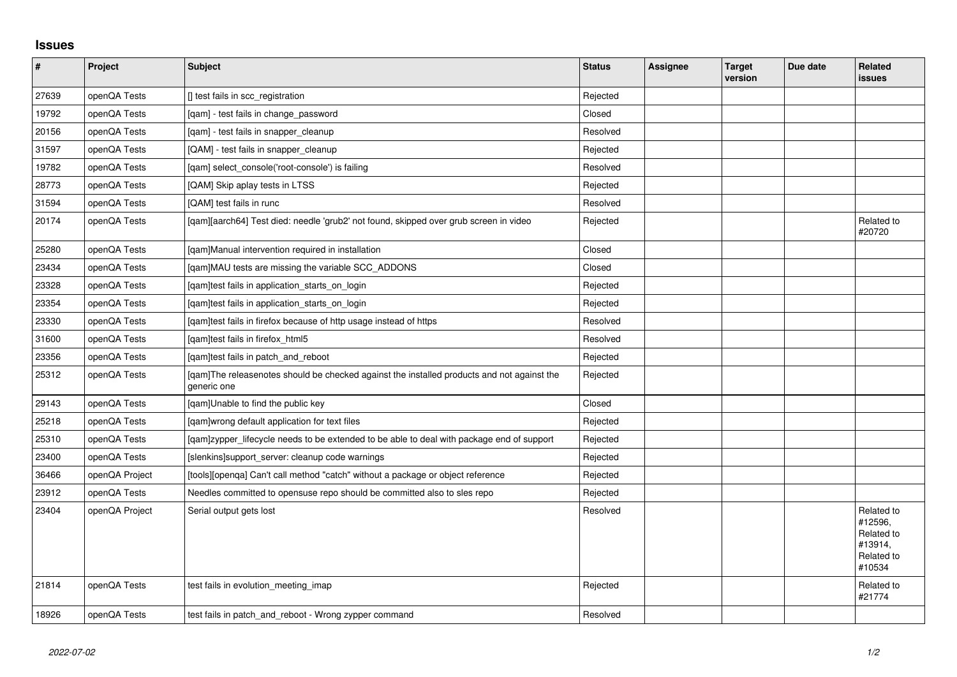## **Issues**

| $\vert$ # | Project        | Subject                                                                                                   | <b>Status</b> | <b>Assignee</b> | <b>Target</b><br>version | Due date | <b>Related</b><br><b>issues</b>                                        |
|-----------|----------------|-----------------------------------------------------------------------------------------------------------|---------------|-----------------|--------------------------|----------|------------------------------------------------------------------------|
| 27639     | openQA Tests   | [] test fails in scc_registration                                                                         | Rejected      |                 |                          |          |                                                                        |
| 19792     | openQA Tests   | [gam] - test fails in change password                                                                     | Closed        |                 |                          |          |                                                                        |
| 20156     | openQA Tests   | [qam] - test fails in snapper_cleanup                                                                     | Resolved      |                 |                          |          |                                                                        |
| 31597     | openQA Tests   | [QAM] - test fails in snapper_cleanup                                                                     | Rejected      |                 |                          |          |                                                                        |
| 19782     | openQA Tests   | [qam] select_console('root-console') is failing                                                           | Resolved      |                 |                          |          |                                                                        |
| 28773     | openQA Tests   | [QAM] Skip aplay tests in LTSS                                                                            | Rejected      |                 |                          |          |                                                                        |
| 31594     | openQA Tests   | [QAM] test fails in runc                                                                                  | Resolved      |                 |                          |          |                                                                        |
| 20174     | openQA Tests   | [gam][aarch64] Test died: needle 'grub2' not found, skipped over grub screen in video                     | Rejected      |                 |                          |          | Related to<br>#20720                                                   |
| 25280     | openQA Tests   | [gam]Manual intervention required in installation                                                         | Closed        |                 |                          |          |                                                                        |
| 23434     | openQA Tests   | [qam]MAU tests are missing the variable SCC_ADDONS                                                        | Closed        |                 |                          |          |                                                                        |
| 23328     | openQA Tests   | [gam]test fails in application starts on login                                                            | Rejected      |                 |                          |          |                                                                        |
| 23354     | openQA Tests   | [qam]test fails in application_starts_on_login                                                            | Rejected      |                 |                          |          |                                                                        |
| 23330     | openQA Tests   | [qam]test fails in firefox because of http usage instead of https                                         | Resolved      |                 |                          |          |                                                                        |
| 31600     | openQA Tests   | [qam]test fails in firefox_html5                                                                          | Resolved      |                 |                          |          |                                                                        |
| 23356     | openQA Tests   | [qam]test fails in patch_and_reboot                                                                       | Rejected      |                 |                          |          |                                                                        |
| 25312     | openQA Tests   | [gam]The releasenotes should be checked against the installed products and not against the<br>generic one | Rejected      |                 |                          |          |                                                                        |
| 29143     | openQA Tests   | [qam]Unable to find the public key                                                                        | Closed        |                 |                          |          |                                                                        |
| 25218     | openQA Tests   | [qam]wrong default application for text files                                                             | Rejected      |                 |                          |          |                                                                        |
| 25310     | openQA Tests   | [gam]zypper_lifecycle needs to be extended to be able to deal with package end of support                 | Rejected      |                 |                          |          |                                                                        |
| 23400     | openQA Tests   | [slenkins]support_server: cleanup code warnings                                                           | Rejected      |                 |                          |          |                                                                        |
| 36466     | openQA Project | [tools][openqa] Can't call method "catch" without a package or object reference                           | Rejected      |                 |                          |          |                                                                        |
| 23912     | openQA Tests   | Needles committed to opensuse repo should be committed also to sles repo                                  | Rejected      |                 |                          |          |                                                                        |
| 23404     | openQA Project | Serial output gets lost                                                                                   | Resolved      |                 |                          |          | Related to<br>#12596,<br>Related to<br>#13914,<br>Related to<br>#10534 |
| 21814     | openQA Tests   | test fails in evolution meeting imap                                                                      | Rejected      |                 |                          |          | Related to<br>#21774                                                   |
| 18926     | openQA Tests   | test fails in patch and reboot - Wrong zypper command                                                     | Resolved      |                 |                          |          |                                                                        |